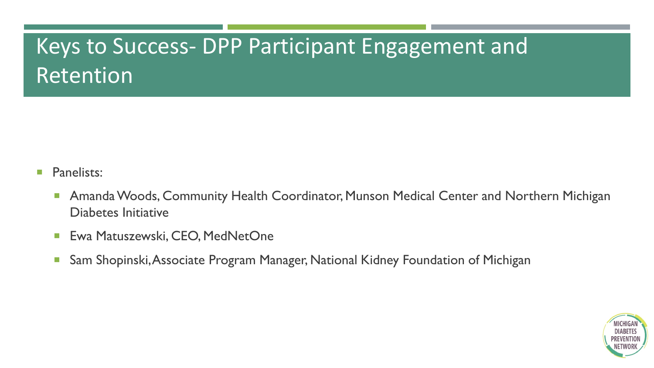# Keys to Success- DPP Participant Engagement and Retention

- **Panelists:** 
	- **Amanda Woods, Community Health Coordinator, Munson Medical Center and Northern Michigan** Diabetes Initiative
	- **Ewa Matuszewski, CEO, MedNetOne**
	- **Sam Shopinski, Associate Program Manager, National Kidney Foundation of Michigan**

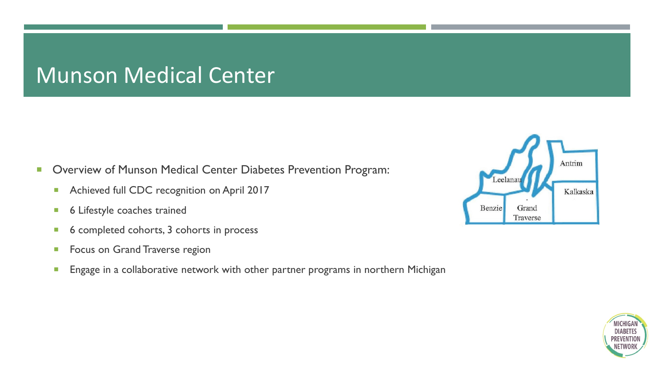### Munson Medical Center

- **Diam-Struck Center Conter Ciabetes Prevention Program:** 
	- Achieved full CDC recognition on April 2017
	- **6 Lifestyle coaches trained**
	- 6 completed cohorts, 3 cohorts in process
	- **Focus on Grand Traverse region**
	- **Engage in a collaborative network with other partner programs in northern Michigan**



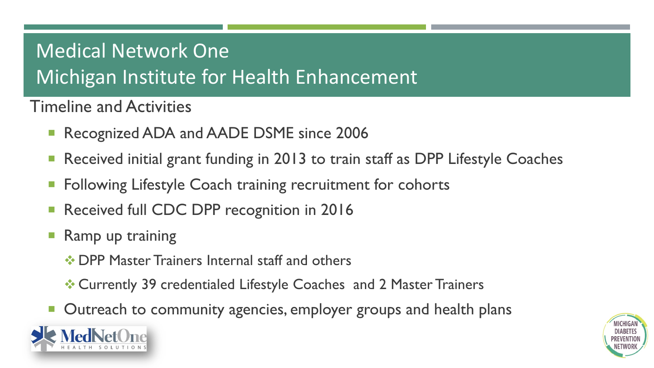# Medical Network One Michigan Institute for Health Enhancement

Timeline and Activities

- Recognized ADA and AADE DSME since 2006
- Received initial grant funding in 2013 to train staff as DPP Lifestyle Coaches
- **Following Lifestyle Coach training recruitment for cohorts**
- Received full CDC DPP recognition in 2016
- $\blacksquare$  Ramp up training
	- **☆ DPP Master Trainers Internal staff and others**
	- Currently 39 credentialed Lifestyle Coaches and 2 Master Trainers
- **D** Outreach to community agencies, employer groups and health plans



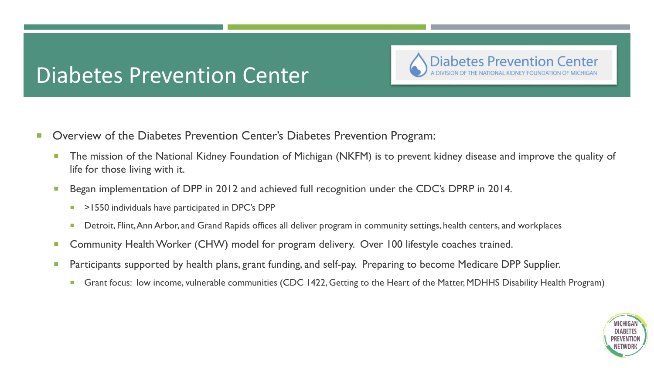## Diabetes Prevention Center

**Diabetes Prevention Center** 

- **Diam-Struck** Overview of the Diabetes Prevention Center's Diabetes Prevention Program:
	- **The mission of the National Kidney Foundation of Michigan (NKFM) is to prevent kidney disease and improve the quality of** life for those living with it.
	- Began implementation of DPP in 2012 and achieved full recognition under the CDC's DPRP in 2014.
		- $\blacksquare$  >1550 individuals have participated in DPC's DPP
		- Detroit, Flint, Ann Arbor, and Grand Rapids offices all deliver program in community settings, health centers, and workplaces
	- **Community Health Worker (CHW) model for program delivery. Over 100 lifestyle coaches trained.**
	- **Participants supported by health plans, grant funding, and self-pay. Preparing to become Medicare DPP Supplier.** 
		- **Grant focus: low income, vulnerable communities (CDC 1422, Getting to the Heart of the Matter, MDHHS Disability Health Program)**